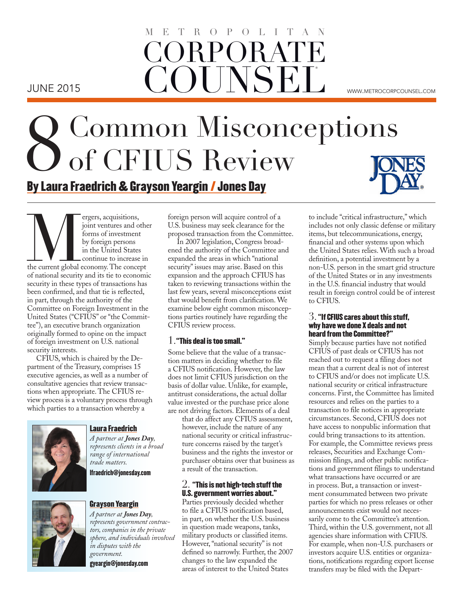## **CORPORAT COUNSEL** TROPOLITA  $\mathcal{M}_{\text{M}}$  . We are the set of  $\mathcal{M}_{\text{M}}$  . We are the set of  $\mathcal{M}_{\text{M}}$ JUNE 2015 www.metrocorpcounsel.com

# 8Common Misconceptions of CFIUS Review By Laura Fraedrich & Grayson Yeargin / Jones Day

France Conceptions, acquisitions, in the current due of national security and its tie to economic of national security and its tie to economic joint ventures and other forms of investment by foreign persons in the United States continue to increase in of national security and its tie to economic security in these types of transactions has been confirmed, and that tie is reflected, in part, through the authority of the Committee on Foreign Investment in the United States ("CFIUS" or "the Committee"), an executive branch organization originally formed to opine on the impact of foreign investment on U.S. national security interests.

CFIUS, which is chaired by the Department of the Treasury, comprises 15 executive agencies, as well as a number of consultative agencies that review transactions when appropriate. The CFIUS review process is a voluntary process through which parties to a transaction whereby a



#### Laura Fraedrich

*A partner at Jones Day, represents clients in a broad range of international trade matters.*

lfraedrich@jonesday.com



#### Grayson Yeargin

*A partner at Jones Day, represents government contractors, companies in the private sphere, and individuals involved in disputes with the government.*

gyeargin@jonesday.com

foreign person will acquire control of a U.S. business may seek clearance for the proposed transaction from the Committee.

In 2007 legislation, Congress broadened the authority of the Committee and expanded the areas in which "national security" issues may arise. Based on this expansion and the approach CFIUS has taken to reviewing transactions within the last few years, several misconceptions exist that would benefit from clarification. We examine below eight common misconceptions parties routinely have regarding the CFIUS review process.

#### $1$  . "This deal is too small."

Some believe that the value of a transaction matters in deciding whether to file a CFIUS notification. However, the law does not limit CFIUS jurisdiction on the basis of dollar value. Unlike, for example, antitrust considerations, the actual dollar value invested or the purchase price alone are not driving factors. Elements of a deal

that do affect any CFIUS assessment, however, include the nature of any national security or critical infrastructure concerns raised by the target's business and the rights the investor or purchaser obtains over that business as a result of the transaction.

#### $2. \,$  "This is not high-tech stuff the U.S. government worries about."

Parties previously decided whether to file a CFIUS notification based, in part, on whether the U.S. business in question made weapons, tanks, military products or classified items. However, "national security" is not defined so narrowly. Further, the 2007 changes to the law expanded the areas of interest to the United States

to include "critical infrastructure," which includes not only classic defense or military items, but telecommunications, energy, financial and other systems upon which the United States relies. With such a broad definition, a potential investment by a non-U.S. person in the smart grid structure of the United States or in any investments in the U.S. financial industry that would result in foreign control could be of interest to CFIUS.

#### $3.$  "If CFIUS cares about this stuff, why have we done X deals and not heard from the Committee?"

Simply because parties have not notified CFIUS of past deals or CFIUS has not reached out to request a filing does not mean that a current deal is not of interest to CFIUS and/or does not implicate U.S. national security or critical infrastructure concerns. First, the Committee has limited resources and relies on the parties to a transaction to file notices in appropriate circumstances. Second, CFIUS does not have access to nonpublic information that could bring transactions to its attention. For example, the Committee reviews press releases, Securities and Exchange Commission filings, and other public notifications and government filings to understand what transactions have occurred or are in process. But, a transaction or investment consummated between two private parties for which no press releases or other announcements exist would not necessarily come to the Committee's attention. Third, within the U.S. government, not all agencies share information with CFIUS. For example, when non-U.S. purchasers or investors acquire U.S. entities or organizations, notifications regarding export license transfers may be filed with the Depart-